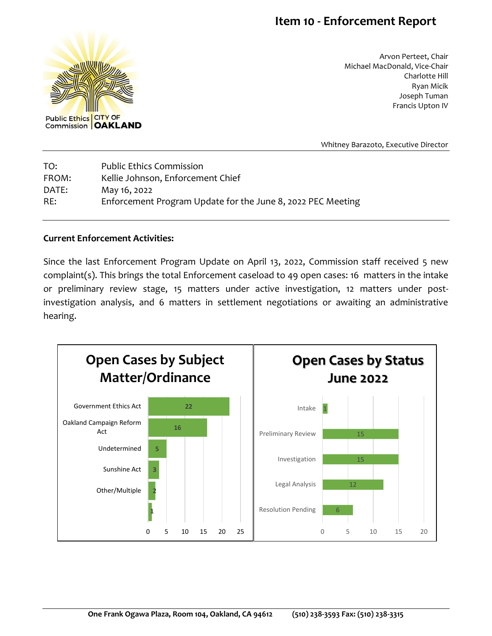## **Item 10 - Enforcement Report**



Arvon Perteet, Chair Michael MacDonald, Vice-Chair Charlotte Hill Ryan Micik Joseph Tuman Francis Upton IV

Whitney Barazoto, Executive Director

| TO:   | <b>Public Ethics Commission</b>                             |
|-------|-------------------------------------------------------------|
| FROM: | Kellie Johnson, Enforcement Chief                           |
| DATE: | May 16, 2022                                                |
| RE:   | Enforcement Program Update for the June 8, 2022 PEC Meeting |

## **Current Enforcement Activities:**

Since the last Enforcement Program Update on April 13, 2022, Commission staff received 5 new complaint(s). This brings the total Enforcement caseload to 49 open cases: 16 matters in the intake or preliminary review stage, 15 matters under active investigation, 12 matters under postinvestigation analysis, and 6 matters in settlement negotiations or awaiting an administrative hearing.